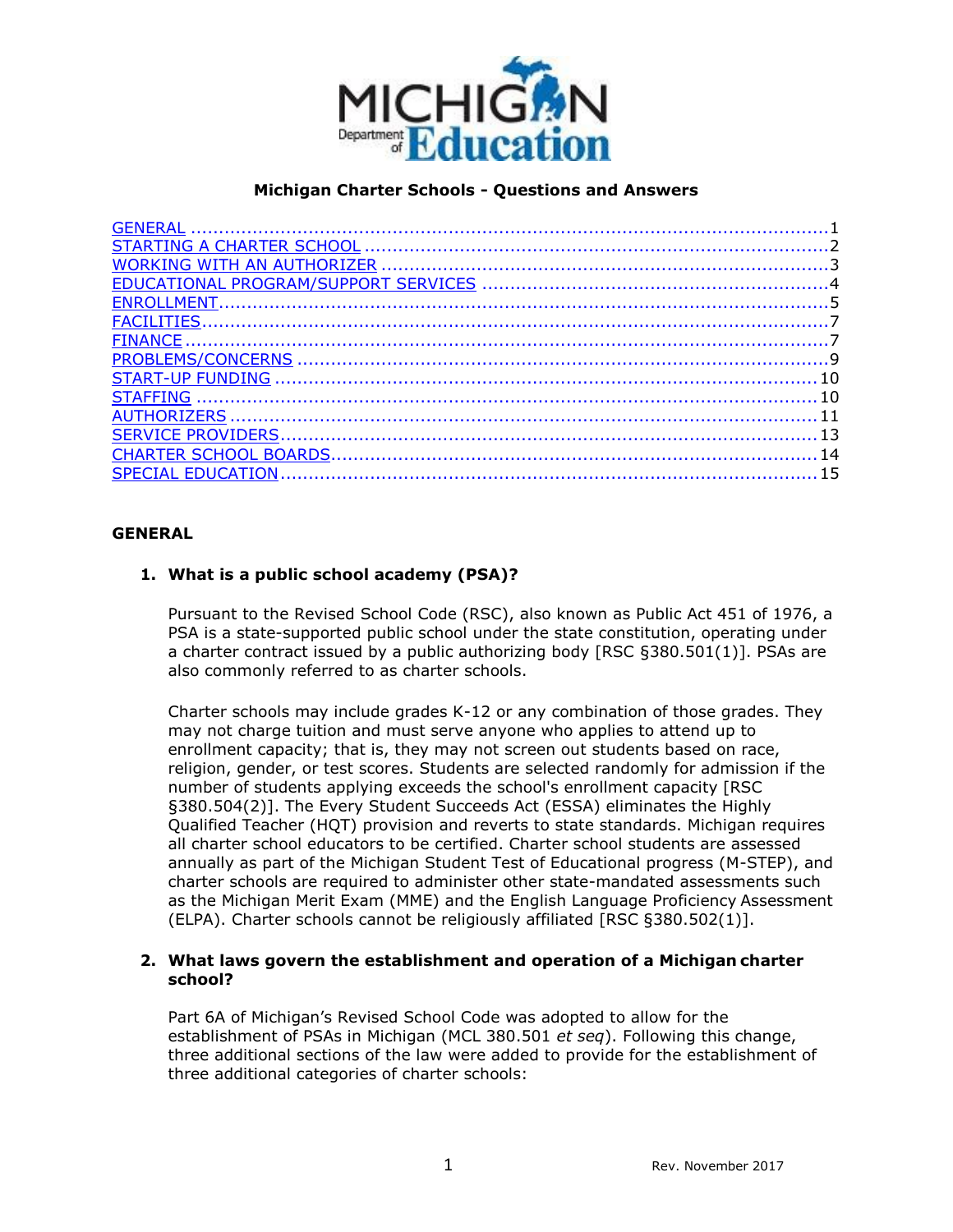

# **Michigan Charter Schools - Questions and Answers**

# **GENERAL**

# **1. What is a public school academy (PSA)?**

 also commonly referred to as charter schools. Pursuant to the Revised School Code (RSC), also known as Public Act 451 of 1976, a PSA is a state-supported public school under the state constitution, operating under a charter contract issued by a public authorizing body [RSC §380.501(1)]. PSAs are

 Charter schools may include grades K-12 or any combination of those grades. They religion, gender, or test scores. Students are selected randomly for admission if the annually as part of the Michigan Student Test of Educational progress (M-STEP), and may not charge tuition and must serve anyone who applies to attend up to enrollment capacity; that is, they may not screen out students based on race, number of students applying exceeds the school's enrollment capacity [RSC §380.504(2)]. The Every Student Succeeds Act (ESSA) eliminates the Highly Qualified Teacher (HQT) provision and reverts to state standards. Michigan requires all charter school educators to be certified. Charter school students are assessed charter schools are required to administer other state-mandated assessments such as the Michigan Merit Exam (MME) and the English Language Proficiency Assessment (ELPA). Charter schools cannot be religiously affiliated [RSC §380.502(1)].

## **2. What laws govern the establishment and operation of a Michigan charter school?**

Part 6A of Michigan's Revised School Code was adopted to allow for the establishment of PSAs in Michigan (MCL 380.501 *et seq*). Following this change, three additional sections of the law were added to provide for the establishment of three additional categories of charter schools: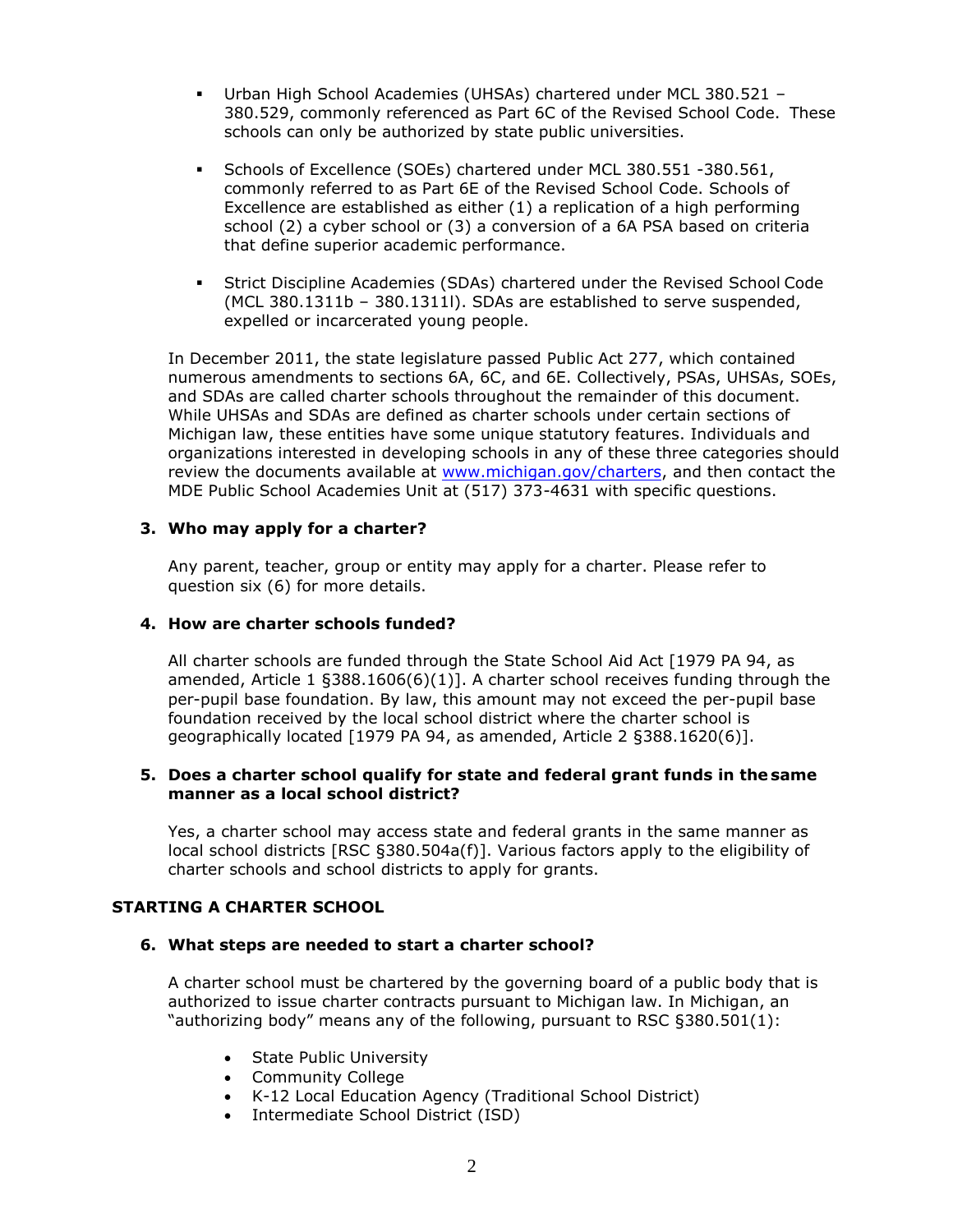- Urban High School Academies (UHSAs) chartered under MCL 380.521 380.529, commonly referenced as Part 6C of the Revised School Code. These schools can only be authorized by state public universities.
- Schools of Excellence (SOEs) chartered under MCL 380.551 -380.561, commonly referred to as Part 6E of the Revised School Code. Schools of Excellence are established as either (1) a replication of a high performing school (2) a cyber school or (3) a conversion of a 6A PSA based on criteria that define superior academic performance.
- Strict Discipline Academies (SDAs) chartered under the Revised School Code (MCL 380.1311b – 380.1311l). SDAs are established to serve suspended, expelled or incarcerated young people.

In December 2011, the state legislature passed Public Act 277, which contained numerous amendments to sections 6A, 6C, and 6E. Collectively, PSAs, UHSAs, SOEs, and SDAs are called charter schools throughout the remainder of this document. While UHSAs and SDAs are defined as charter schools under certain sections of Michigan law, these entities have some unique statutory features. Individuals and organizations interested in developing schools in any of these three categories should review the documents available at [www.michigan.gov/charters,](http://www.michigan.gov/charters) and then contact the MDE Public School Academies Unit at (517) 373-4631 with specific questions.

## **3. Who may apply for a charter?**

 Any parent, teacher, group or entity may apply for a charter. Please refer to question six (6) for more details.

#### **4. How are charter schools funded?**

All charter schools are funded through the State School Aid Act [1979 PA 94, as amended, Article 1  $$388.1606(6)(1)]$ . A charter school receives funding through the per-pupil base foundation. By law, this amount may not exceed the per-pupil base foundation received by the local school district where the charter school is geographically located [1979 PA 94, as amended, Article 2 §388.1620(6)].

#### **5. Does a charter school qualify for state and federal grant funds in the same manner as a local school district?**

 Yes, a charter school may access state and federal grants in the same manner as local school districts [RSC §380.504a(f)]. Various factors apply to the eligibility of charter schools and school districts to apply for grants.

## **STARTING A CHARTER SCHOOL**

## **6. What steps are needed to start a charter school?**

 authorized to issue charter contracts pursuant to Michigan law. In Michigan, an A charter school must be chartered by the governing board of a public body that is "authorizing body" means any of the following, pursuant to RSC §380.501(1):

- State Public University
- Community College
- K-12 Local Education Agency (Traditional School District)
- Intermediate School District (ISD)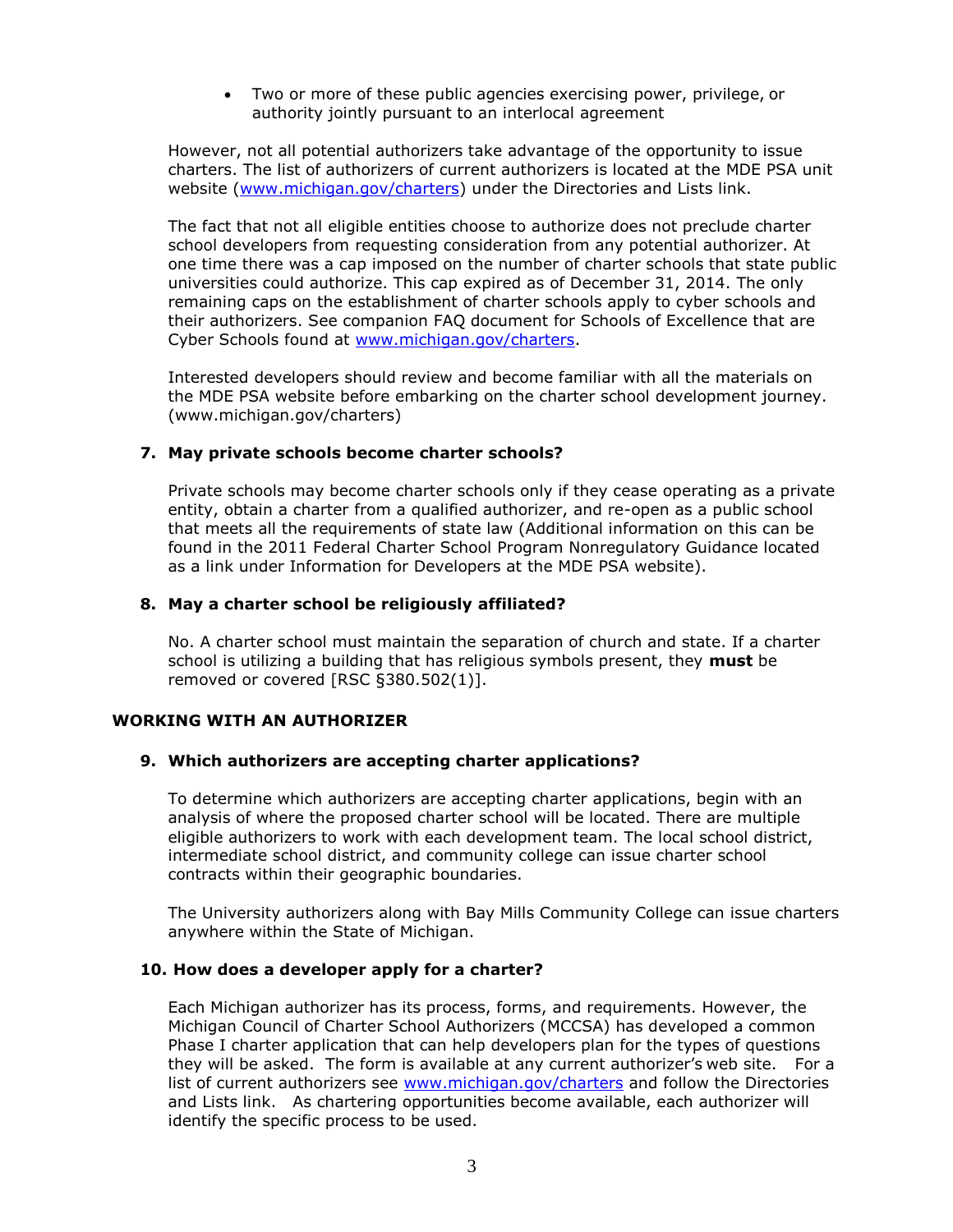• Two or more of these public agencies exercising power, privilege, or authority jointly pursuant to an interlocal agreement

 charters. The list of authorizers of current authorizers is located at the MDE PSA unit However, not all potential authorizers take advantage of the opportunity to issue website [\(www.michigan.gov/charters\)](http://www.michigan.gov/charters) under the Directories and Lists link.

The fact that not all eligible entities choose to authorize does not preclude charter school developers from requesting consideration from any potential authorizer. At one time there was a cap imposed on the number of charter schools that state public universities could authorize. This cap expired as of December 31, 2014. The only remaining caps on the establishment of charter schools apply to cyber schools and their authorizers. See companion FAQ document for Schools of Excellence that are Cyber Schools found at [www.michigan.gov/charters.](http://www.michigan.gov/charters)

 the MDE PSA website before embarking on the charter school development journey. Interested developers should review and become familiar with all the materials on [\(www.michigan.gov/charters\)](http://www.michigan.gov/charters)) 

## **7. May private schools become charter schools?**

Private schools may become charter schools only if they cease operating as a private entity, obtain a charter from a qualified authorizer, and re-open as a public school that meets all the requirements of state law (Additional information on this can be found in the 2011 Federal Charter School Program Nonregulatory Guidance located as a link under Information for Developers at the MDE PSA website).

#### **8. May a charter school be religiously affiliated?**

 removed or covered [RSC §380.502(1)]. No. A charter school must maintain the separation of church and state. If a charter school is utilizing a building that has religious symbols present, they **must** be

#### **WORKING WITH AN AUTHORIZER**

#### **9. Which authorizers are accepting charter applications?**

 analysis of where the proposed charter school will be located. There are multiple To determine which authorizers are accepting charter applications, begin with an eligible authorizers to work with each development team. The local school district, intermediate school district, and community college can issue charter school contracts within their geographic boundaries.

The University authorizers along with Bay Mills Community College can issue charters anywhere within the State of Michigan.

#### **10. How does a developer apply for a charter?**

Each Michigan authorizer has its process, forms, and requirements. However, the Michigan Council of Charter School Authorizers (MCCSA) has developed a common Phase I charter application that can help developers plan for the types of questions they will be asked. The form is available at any current authorizer's web site. For a list of current authorizers see [www.michigan.gov/charters a](http://www.michigan.gov/charters)nd follow the Directories and Lists link. As chartering opportunities become available, each authorizer will identify the specific process to be used.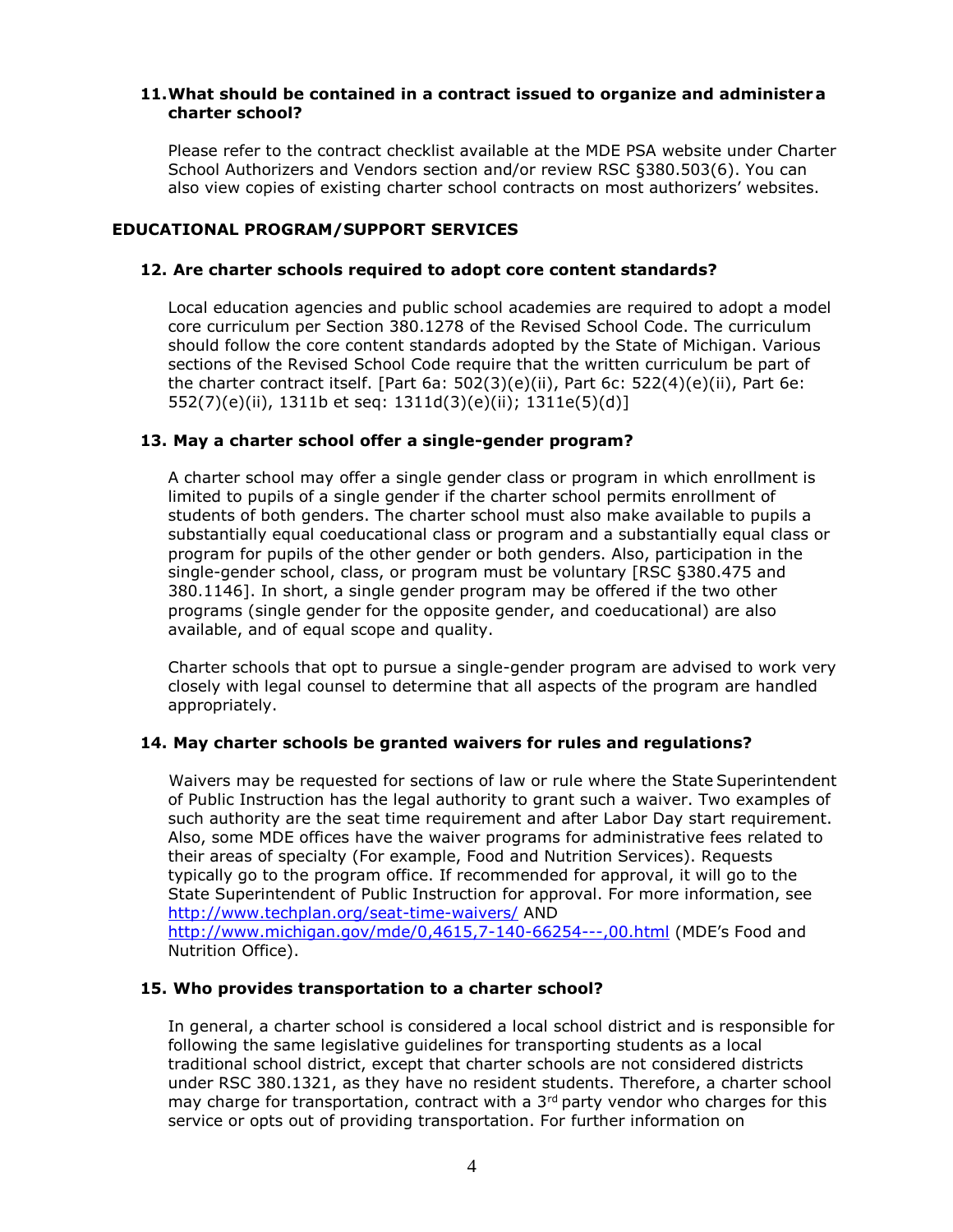## **11.What should be contained in a contract issued to organize and administer a charter school?**

Please refer to the contract checklist available at the MDE PSA website under Charter School Authorizers and Vendors section and/or review RSC §380.503(6). You can also view copies of existing charter school contracts on most authorizers' websites.

## **EDUCATIONAL PROGRAM/SUPPORT SERVICES**

## **12. Are charter schools required to adopt core content standards?**

Local education agencies and public school academies are required to adopt a model core curriculum per Section 380.1278 of the Revised School Code. The curriculum should follow the core content standards adopted by the State of Michigan. Various sections of the Revised School Code require that the written curriculum be part of the charter contract itself. [Part 6a: 502(3)(e)(ii), Part 6c: 522(4)(e)(ii), Part 6e: 552(7)(e)(ii), 1311b et seq: 1311d(3)(e)(ii); 1311e(5)(d)]

#### **13. May a charter school offer a single-gender program?**

 program for pupils of the other gender or both genders. Also, participation in the 380.1146]. In short, a single gender program may be offered if the two other A charter school may offer a single gender class or program in which enrollment is limited to pupils of a single gender if the charter school permits enrollment of students of both genders. The charter school must also make available to pupils a substantially equal coeducational class or program and a substantially equal class or single-gender school, class, or program must be voluntary [RSC §380.475 and programs (single gender for the opposite gender, and coeducational) are also available, and of equal scope and quality.

Charter schools that opt to pursue a single-gender program are advised to work very closely with legal counsel to determine that all aspects of the program are handled appropriately.

## **14. May charter schools be granted waivers for rules and regulations?**

 typically go to the program office. If recommended for approval, it will go to the Waivers may be requested for sections of law or rule where the State Superintendent of Public Instruction has the legal authority to grant such a waiver. Two examples of such authority are the seat time requirement and after Labor Day start requirement. Also, some MDE offices have the waiver programs for administrative fees related to their areas of specialty (For example, Food and Nutrition Services). Requests State Superintendent of Public Instruction for approval. For more information, see [http://www.techplan.org/seat-time-waivers/ A](http://www.techplan.org/seat-time-waivers/)ND [http://www.michigan.gov/mde/0,4615,7-140-66254---,00.html](http://www.michigan.gov/mde/0%2C4615%2C7-140-66254---%2C00.html) (MDE's Food and Nutrition Office).

#### **15. Who provides transportation to a charter school?**

In general, a charter school is considered a local school district and is responsible for following the same legislative guidelines for transporting students as a local traditional school district, except that charter schools are not considered districts under RSC 380.1321, as they have no resident students. Therefore, a charter school may charge for transportation, contract with a  $3<sup>rd</sup>$  party vendor who charges for this service or opts out of providing transportation. For further information on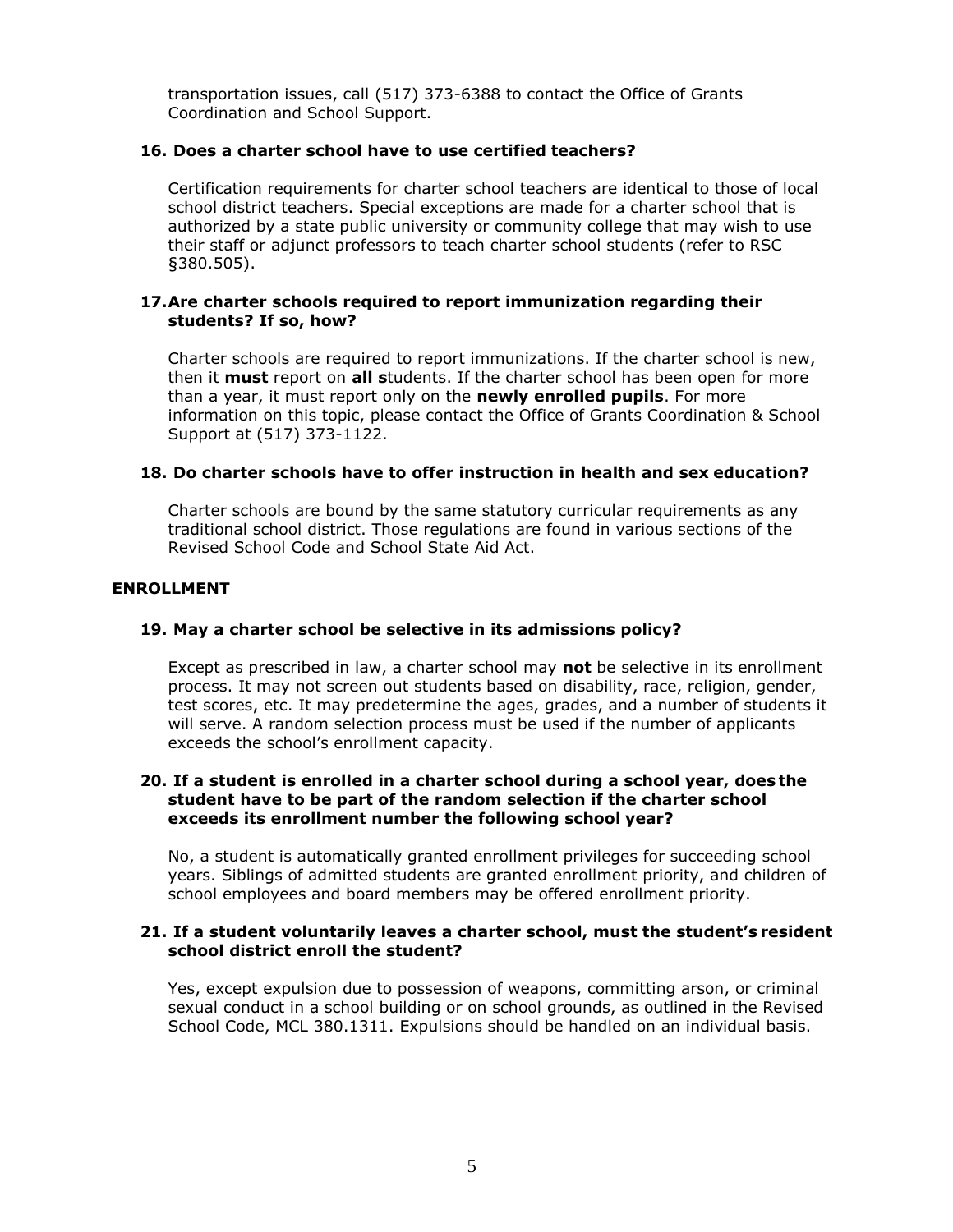transportation issues, call (517) 373-6388 to contact the Office of Grants Coordination and School Support.

## **16. Does a charter school have to use certified teachers?**

 Certification requirements for charter school teachers are identical to those of local school district teachers. Special exceptions are made for a charter school that is authorized by a state public university or community college that may wish to use their staff or adjunct professors to teach charter school students (refer to RSC §380.505).

## **17.Are charter schools required to report immunization regarding their students? If so, how?**

 Charter schools are required to report immunizations. If the charter school is new, then it **must** report on **all s**tudents. If the charter school has been open for more than a year, it must report only on the **newly enrolled pupils**. For more information on this topic, please contact the Office of Grants Coordination & School Support at (517) 373-1122.

## **18. Do charter schools have to offer instruction in health and sex education?**

Charter schools are bound by the same statutory curricular requirements as any traditional school district. Those regulations are found in various sections of the Revised School Code and School State Aid Act.

## **ENROLLMENT**

## **19. May a charter school be selective in its admissions policy?**

 test scores, etc. It may predetermine the ages, grades, and a number of students it Except as prescribed in law, a charter school may **not** be selective in its enrollment process. It may not screen out students based on disability, race, religion, gender, will serve. A random selection process must be used if the number of applicants exceeds the school's enrollment capacity.

#### **20. If a student is enrolled in a charter school during a school year, does the student have to be part of the random selection if the charter school exceeds its enrollment number the following school year?**

 school employees and board members may be offered enrollment priority. No, a student is automatically granted enrollment privileges for succeeding school years. Siblings of admitted students are granted enrollment priority, and children of

#### **21. If a student voluntarily leaves a charter school, must the student's resident school district enroll the student?**

Yes, except expulsion due to possession of weapons, committing arson, or criminal sexual conduct in a school building or on school grounds, as outlined in the Revised School Code, MCL 380.1311. Expulsions should be handled on an individual basis.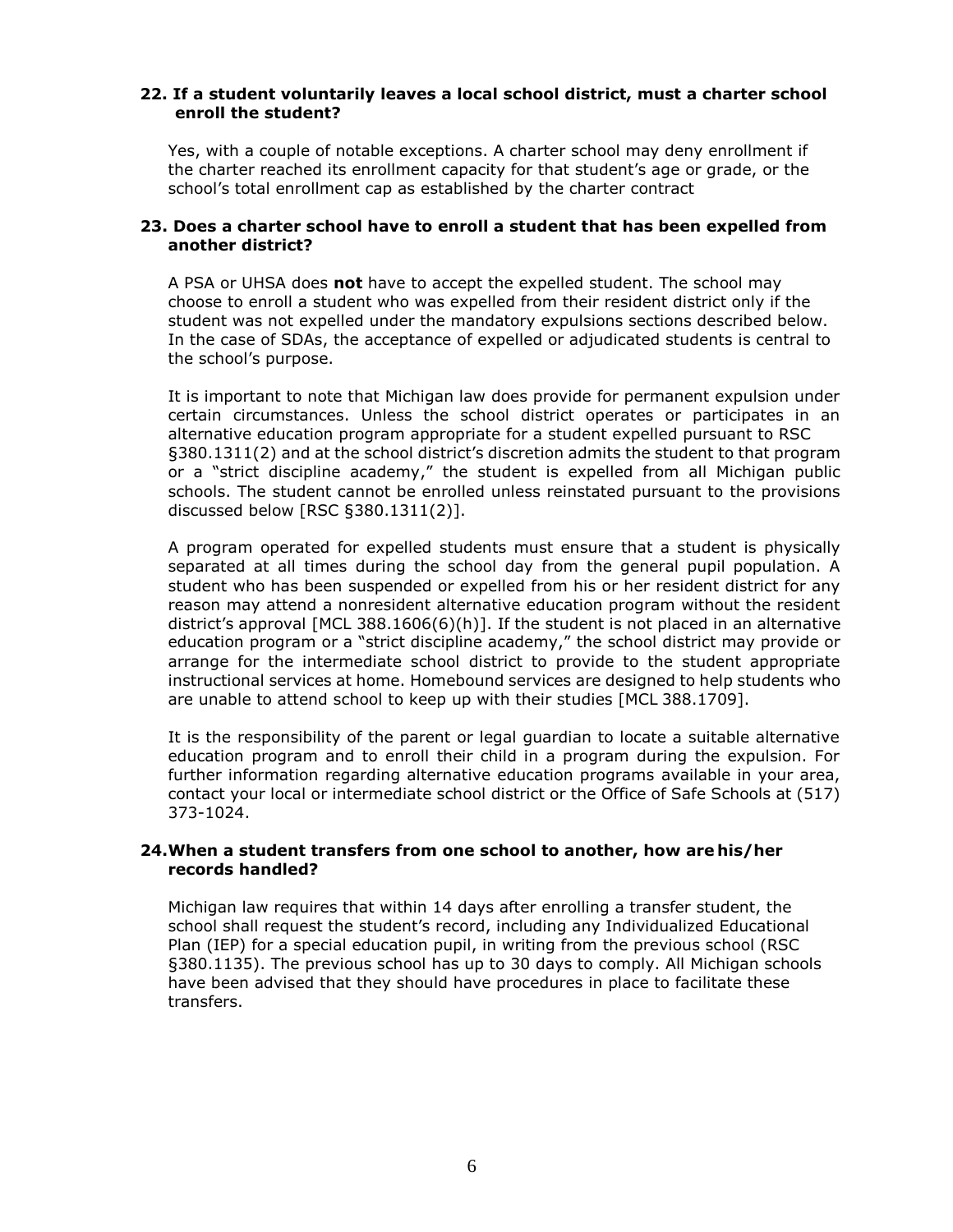## **22. If a student voluntarily leaves a local school district, must a charter school enroll the student?**

Yes, with a couple of notable exceptions. A charter school may deny enrollment if the charter reached its enrollment capacity for that student's age or grade, or the school's total enrollment cap as established by the charter contract

## **23. Does a charter school have to enroll a student that has been expelled from another district?**

A PSA or UHSA does **not** have to accept the expelled student. The school may choose to enroll a student who was expelled from their resident district only if the student was not expelled under the mandatory expulsions sections described below. In the case of SDAs, the acceptance of expelled or adjudicated students is central to the school's purpose.

 It is important to note that Michigan law does provide for permanent expulsion under certain circumstances. Unless the school district operates or participates in an or a "strict discipline academy," the student is expelled from all Michigan public schools. The student cannot be enrolled unless reinstated pursuant to the provisions alternative education program appropriate for a student expelled pursuant to RSC §380.1311(2) and at the school district's discretion admits the student to that program discussed below [RSC §380.1311(2)].

 A program operated for expelled students must ensure that a student is physically separated at all times during the school day from the general pupil population. A student who has been suspended or expelled from his or her resident district for any reason may attend a nonresident alternative education program without the resident education program or a "strict discipline academy," the school district may provide or arrange for the intermediate school district to provide to the student appropriate district's approval [MCL 388.1606(6)(h)]. If the student is not placed in an alternative instructional services at home. Homebound services are designed to help students who are unable to attend school to keep up with their studies [MCL 388.1709].

 It is the responsibility of the parent or legal guardian to locate a suitable alternative education program and to enroll their child in a program during the expulsion. For further information regarding alternative education programs available in your area, contact your local or intermediate school district or the Office of Safe Schools at (517) 373-1024.

#### **24.When a student transfers from one school to another, how are his/her records handled?**

Michigan law requires that within 14 days after enrolling a transfer student, the school shall request the student's record, including any Individualized Educational Plan (IEP) for a special education pupil, in writing from the previous school (RSC §380.1135). The previous school has up to 30 days to comply. All Michigan schools have been advised that they should have procedures in place to facilitate these transfers.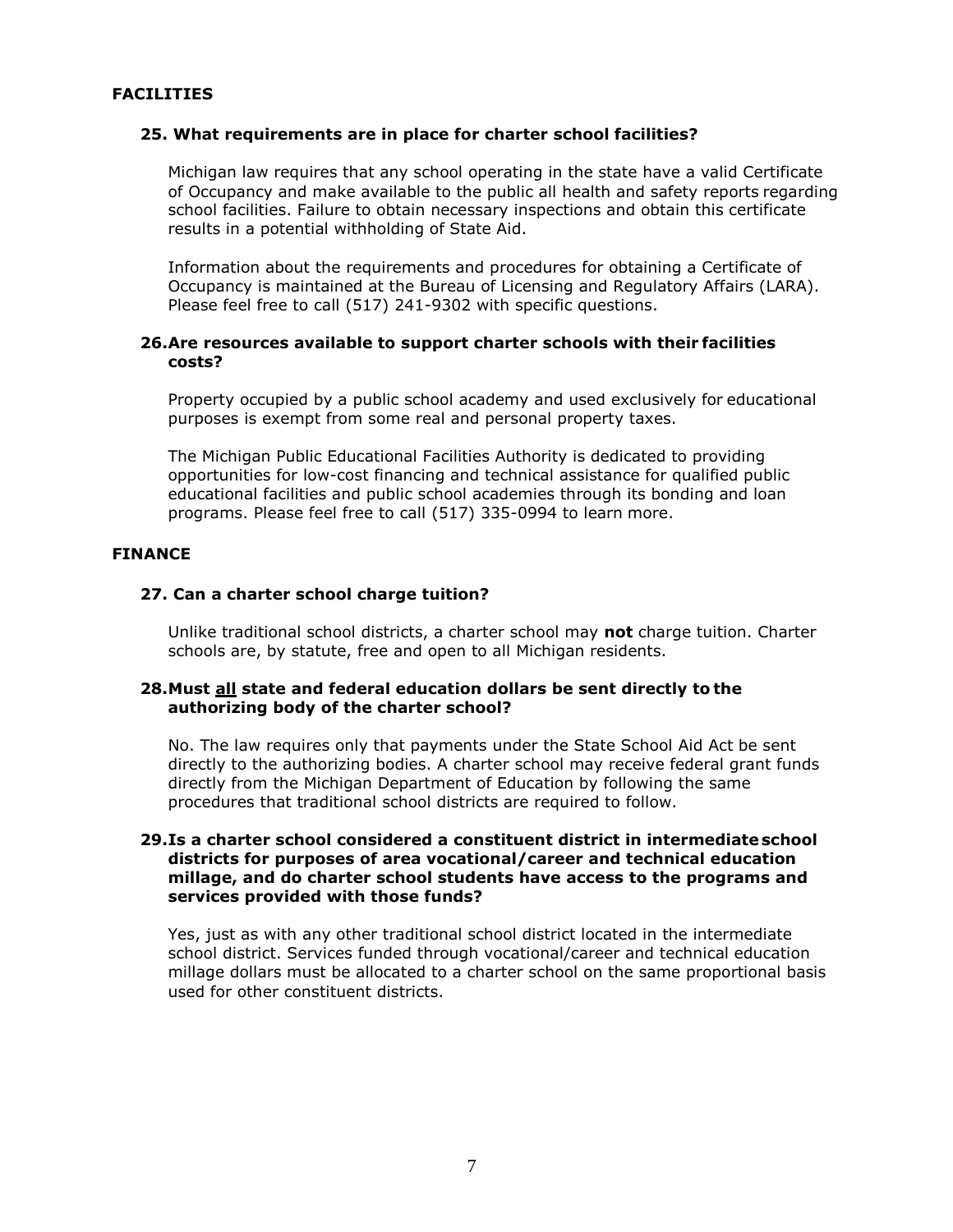## **FACILITIES**

#### **25. What requirements are in place for charter school facilities?**

Michigan law requires that any school operating in the state have a valid Certificate of Occupancy and make available to the public all health and safety reports regarding school facilities. Failure to obtain necessary inspections and obtain this certificate results in a potential withholding of State Aid.

Information about the requirements and procedures for obtaining a Certificate of Occupancy is maintained at the Bureau of Licensing and Regulatory Affairs (LARA). Please feel free to call (517) 241-9302 with specific questions.

## **26.Are resources available to support charter schools with their facilities costs?**

Property occupied by a public school academy and used exclusively for educational purposes is exempt from some real and personal property taxes.

The Michigan Public Educational Facilities Authority is dedicated to providing opportunities for low-cost financing and technical assistance for qualified public educational facilities and public school academies through its bonding and loan programs. Please feel free to call (517) 335-0994 to learn more.

#### **FINANCE**

#### **27. Can a charter school charge tuition?**

 schools are, by statute, free and open to all Michigan residents. Unlike traditional school districts, a charter school may **not** charge tuition. Charter

#### **28.Must all state and federal education dollars be sent directly to the authorizing body of the charter school?**

No. The law requires only that payments under the State School Aid Act be sent directly to the authorizing bodies. A charter school may receive federal grant funds directly from the Michigan Department of Education by following the same procedures that traditional school districts are required to follow.

## **29.Is a charter school considered a constituent district in intermediate school districts for purposes of area vocational/career and technical education millage, and do charter school students have access to the programs and services provided with those funds?**

Yes, just as with any other traditional school district located in the intermediate school district. Services funded through vocational/career and technical education millage dollars must be allocated to a charter school on the same proportional basis used for other constituent districts.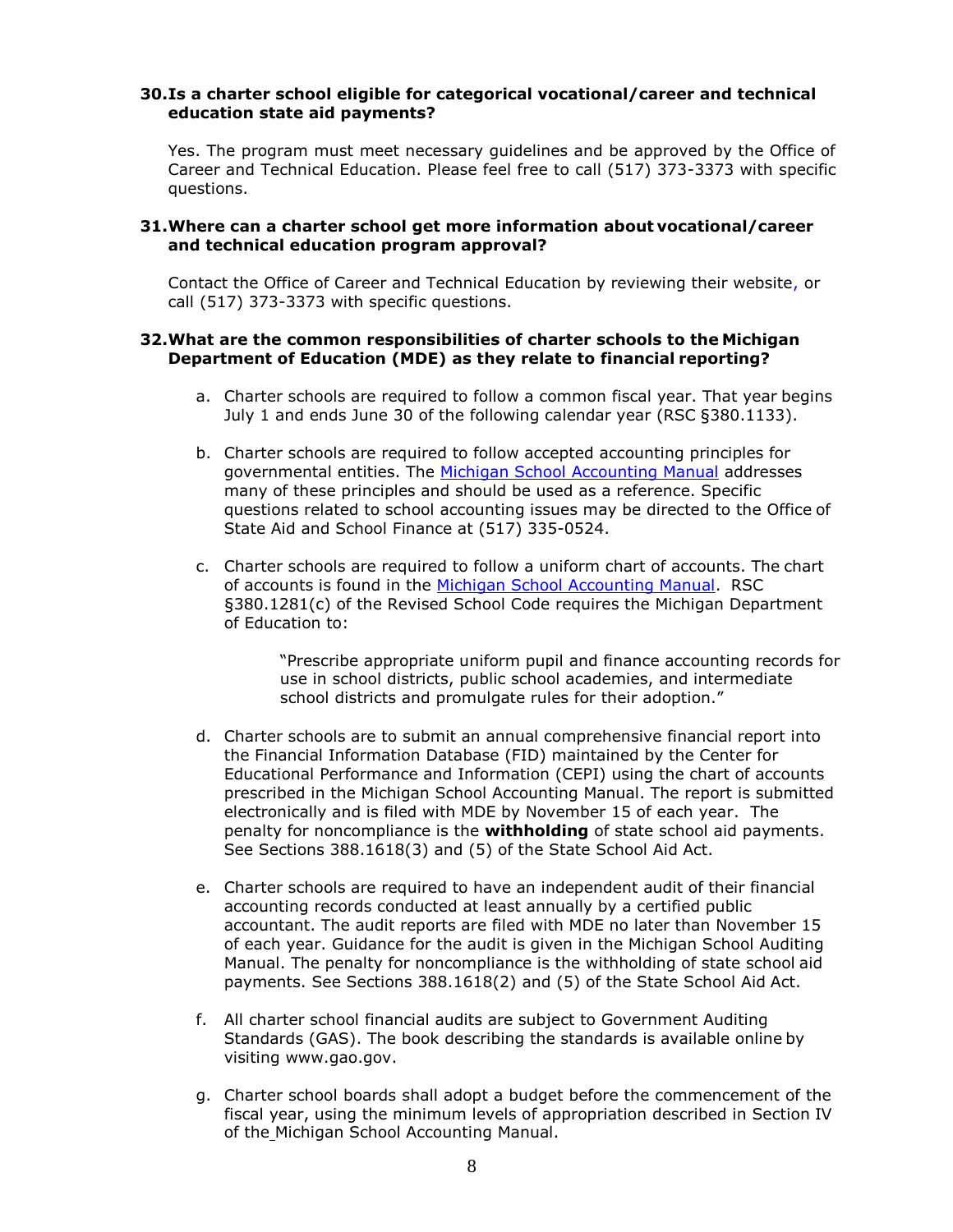## **30.Is a charter school eligible for categorical vocational/career and technical education state aid payments?**

 Yes. The program must meet necessary guidelines and be approved by the Office of Career and Technical Education. Please feel free to call (517) 373-3373 with specific questions.

## **31.Where can a charter school get more information about vocational/career and technical education program approval?**

Contact the Office of Career and Technical Education by reviewing their website, or call (517) 373-3373 with specific questions.

## **32.What are the common responsibilities of charter schools to the Michigan Department of Education (MDE) as they relate to financial reporting?**

- a. Charter schools are required to follow a common fiscal year. That year begins July 1 and ends June 30 of the following calendar year (RSC §380.1133).
- b. Charter schools are required to follow accepted accounting principles for governmental entities. The [Michigan School Accounting Manual a](http://www.michigan.gov/mde/0%2C4615%2C7-140-6530_6605-21321--%2C00.html)ddresses many of these principles and should be used as a reference. Specific questions related to school accounting issues may be directed to the Office of State Aid and School Finance at (517) 335-0524.
- c. Charter schools are required to follow a uniform chart of accounts. The chart of accounts is found in the [Michigan School Accounting Manual.](http://www.michigan.gov/mde/0%2C4615%2C7-140-6530_6605-21321--%2C00.html) RSC §380.1281(c) of the Revised School Code requires the Michigan Department of Education to:

"Prescribe appropriate uniform pupil and finance accounting records for use in school districts, public school academies, and intermediate school districts and promulgate rules for their adoption."

- d. Charter schools are to submit an annual comprehensive financial report into the Financial Information Database (FID) maintained by the Center for Educational Performance and Information (CEPI) using the chart of accounts prescribed in the Michigan School Accounting Manual. The report is submitted electronically and is filed with MDE by November 15 of each year. The penalty for noncompliance is the **withholding** of state school aid payments. See Sections 388.1618(3) and (5) of the State School Aid Act.
- e. Charter schools are required to have an independent audit of their financial accounting records conducted at least annually by a certified public accountant. The audit reports are filed with MDE no later than November 15 of each year. Guidance for the audit is given in the Michigan School Auditing Manual. The penalty for noncompliance is the withholding of state school aid payments. See Sections 388.1618(2) and (5) of the State School Aid Act.
- f. All charter school financial audits are subject to Government Auditing Standards (GAS). The book describing the standards is available online by visiting [www.gao.gov.](http://www.gao.gov/)
- g. Charter school boards shall adopt a budget before the commencement of the fiscal year, using the minimum levels of appropriation described in Section IV of the Michigan School Accounting Manual.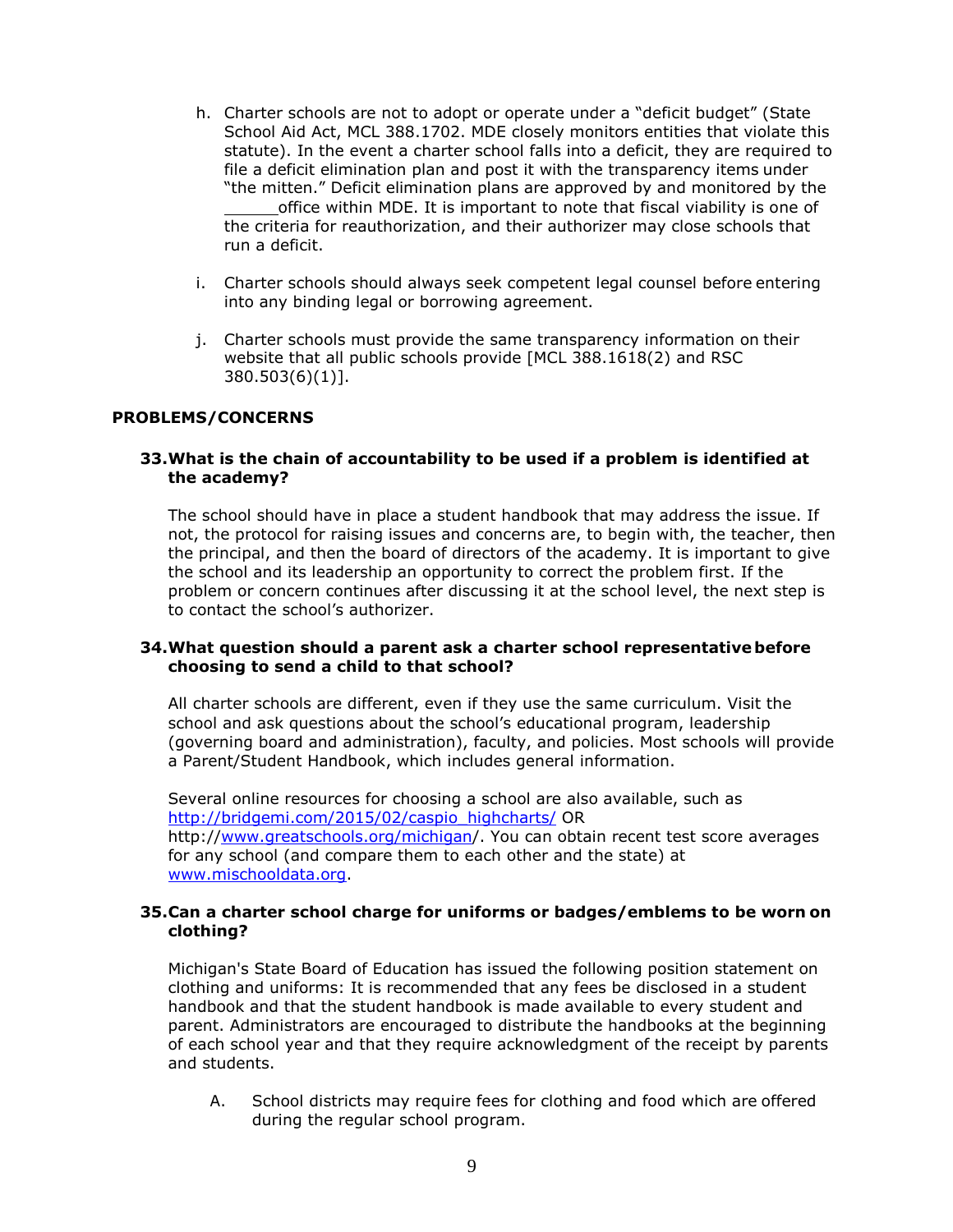- h. Charter schools are not to adopt or operate under a "deficit budget" (State School Aid Act, MCL 388.1702. MDE closely monitors entities that violate this statute). In the event a charter school falls into a deficit, they are required to file a deficit elimination plan and post it with the transparency items under "the mitten." Deficit elimination plans are approved by and monitored by the office within MDE. It is important to note that fiscal viability is one of the criteria for reauthorization, and their authorizer may close schools that run a deficit.
- i. Charter schools should always seek competent legal counsel before entering into any binding legal or borrowing agreement.
- j. Charter schools must provide the same transparency information on their website that all public schools provide [MCL 388.1618(2) and RSC 380.503(6)(1)].

## **PROBLEMS/CONCERNS**

## **33.What is the chain of accountability to be used if a problem is identified at the academy?**

 the principal, and then the board of directors of the academy. It is important to give The school should have in place a student handbook that may address the issue. If not, the protocol for raising issues and concerns are, to begin with, the teacher, then the school and its leadership an opportunity to correct the problem first. If the problem or concern continues after discussing it at the school level, the next step is to contact the school's authorizer.

#### **34.What question should a parent ask a charter school representative before choosing to send a child to that school?**

All charter schools are different, even if they use the same curriculum. Visit the school and ask questions about the school's educational program, leadership (governing board and administration), faculty, and policies. Most schools will provide a Parent/Student Handbook, which includes general information.

Several online resources for choosing a school are also available, such as [http://bridgemi.com/2015/02/caspio\\_highcharts/ O](http://bridgemi.com/2015/02/caspio_highcharts/)R http:/[/www.greatschools.org/michigan/](http://www.greatschools.org/michigan). You can obtain recent test score averages for any school (and compare them to each other and the state) at [www.mischooldata.org.](http://www.mischooldata.org/)

#### **35.Can a charter school charge for uniforms or badges/emblems to be worn on clothing?**

 Michigan's State Board of Education has issued the following position statement on clothing and uniforms: It is recommended that any fees be disclosed in a student handbook and that the student handbook is made available to every student and parent. Administrators are encouraged to distribute the handbooks at the beginning of each school year and that they require acknowledgment of the receipt by parents and students.

A. School districts may require fees for clothing and food which are offered during the regular school program.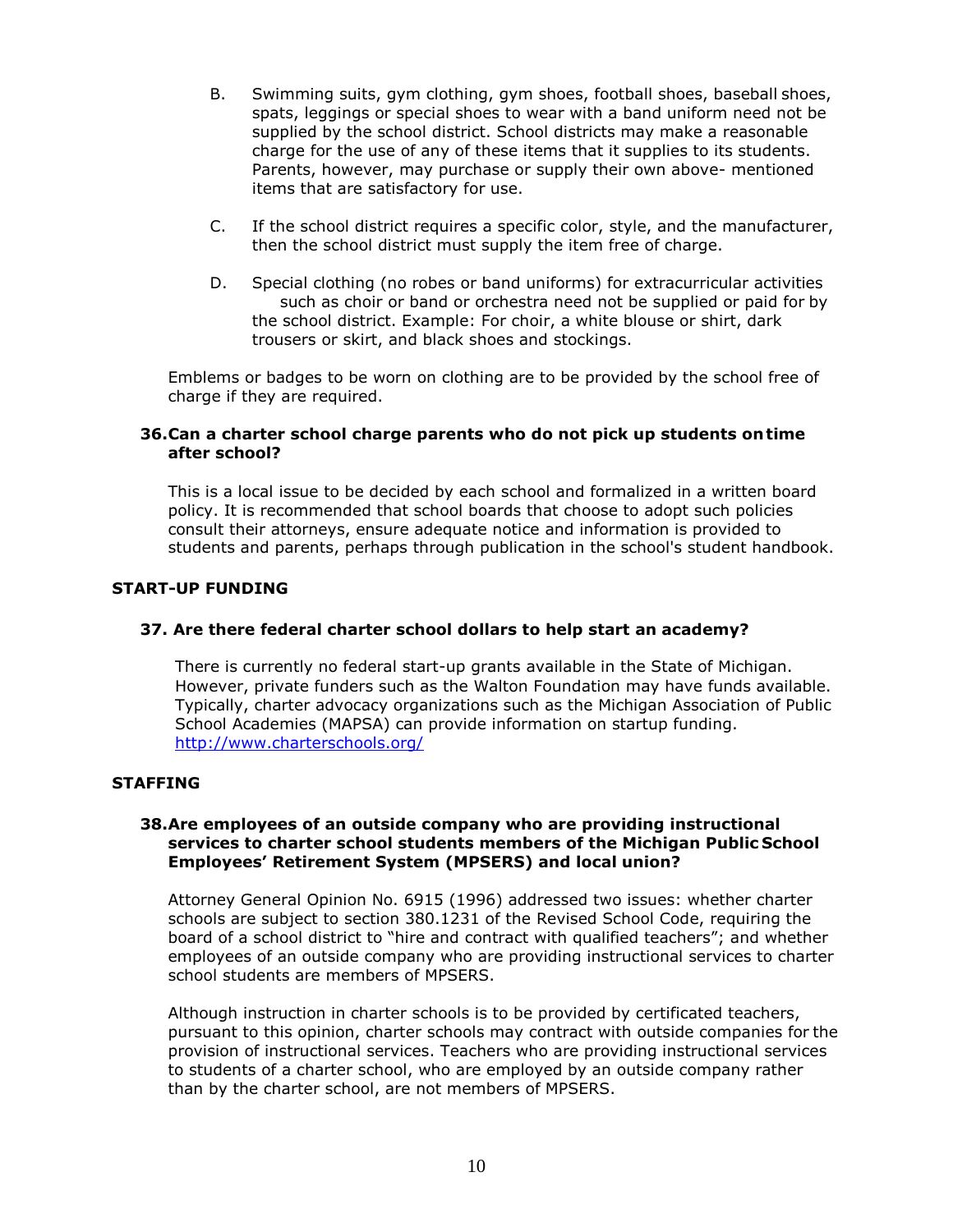- spats, leggings or special shoes to wear with a band uniform need not be B. Swimming suits, gym clothing, gym shoes, football shoes, baseball shoes, supplied by the school district. School districts may make a reasonable charge for the use of any of these items that it supplies to its students. Parents, however, may purchase or supply their own above- mentioned items that are satisfactory for use.
- C. If the school district requires a specific color, style, and the manufacturer, then the school district must supply the item free of charge.
- D. Special clothing (no robes or band uniforms) for extracurricular activities such as choir or band or orchestra need not be supplied or paid for by the school district. Example: For choir, a white blouse or shirt, dark trousers or skirt, and black shoes and stockings.

Emblems or badges to be worn on clothing are to be provided by the school free of charge if they are required.

## **36.Can a charter school charge parents who do not pick up students on time after school?**

This is a local issue to be decided by each school and formalized in a written board policy. It is recommended that school boards that choose to adopt such policies consult their attorneys, ensure adequate notice and information is provided to students and parents, perhaps through publication in the school's student handbook.

## **START-UP FUNDING**

## **37. Are there federal charter school dollars to help start an academy?**

 Typically, charter advocacy organizations such as the Michigan Association of Public There is currently no federal start-up grants available in the State of Michigan. However, private funders such as the Walton Foundation may have funds available. School Academies (MAPSA) can provide information on startup funding. <http://www.charterschools.org/>

## **STAFFING**

### **38.Are employees of an outside company who are providing instructional services to charter school students members of the Michigan Public School Employees' Retirement System (MPSERS) and local union?**

 Attorney General Opinion No. 6915 (1996) addressed two issues: whether charter employees of an outside company who are providing instructional services to charter schools are subject to section 380.1231 of the Revised School Code, requiring the board of a school district to "hire and contract with qualified teachers"; and whether school students are members of MPSERS.

Although instruction in charter schools is to be provided by certificated teachers, pursuant to this opinion, charter schools may contract with outside companies for the provision of instructional services. Teachers who are providing instructional services to students of a charter school, who are employed by an outside company rather than by the charter school, are not members of MPSERS.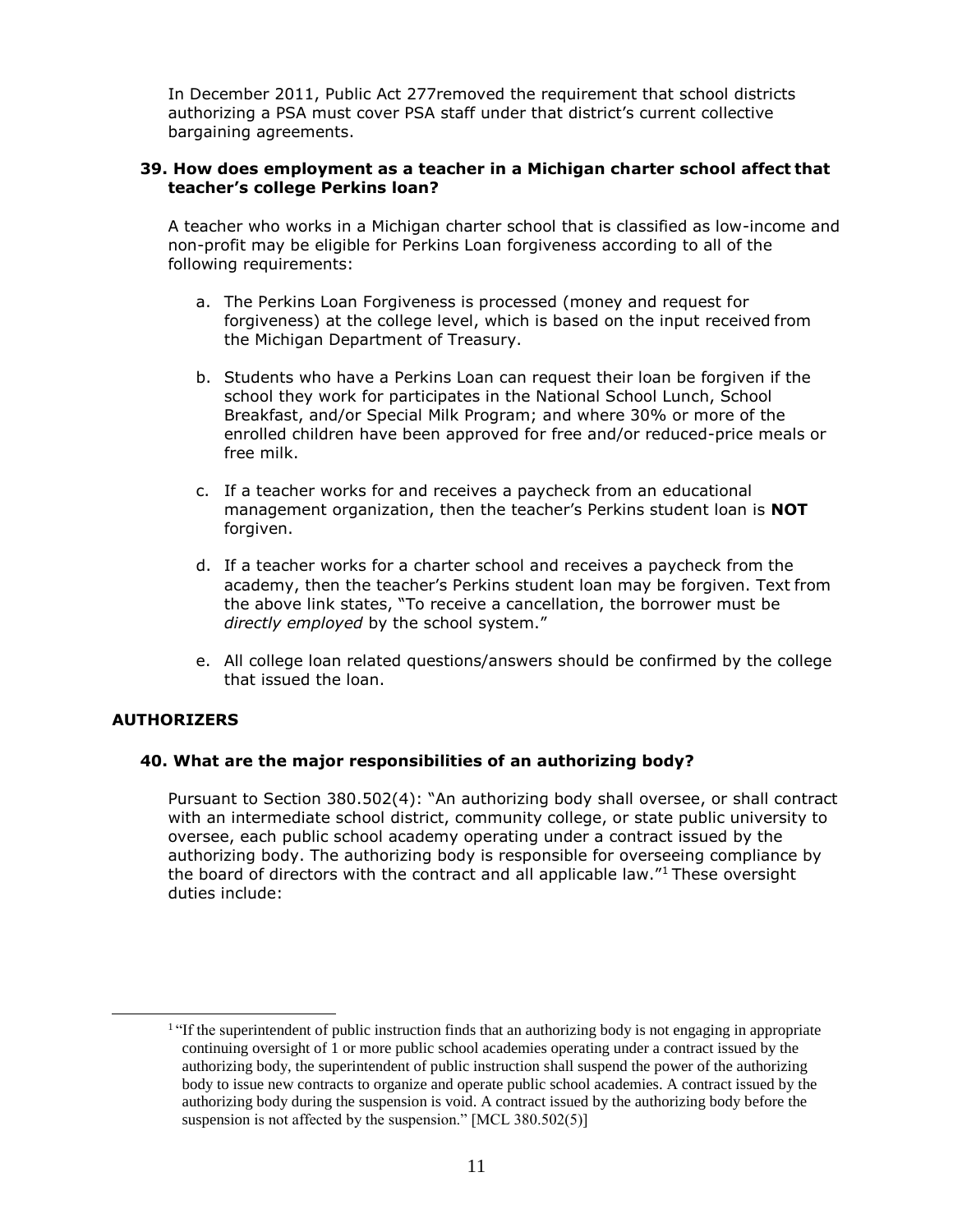In December 2011, Public Act 277removed the requirement that school districts authorizing a PSA must cover PSA staff under that district's current collective bargaining agreements.

### **39. How does employment as a teacher in a Michigan charter school affect that teacher's college Perkins loan?**

 A teacher who works in a Michigan charter school that is classified as low-income and non-profit may be eligible for Perkins Loan forgiveness according to all of the following requirements:

- a. The Perkins Loan Forgiveness is processed (money and request for forgiveness) at the college level, which is based on the input received from the Michigan Department of Treasury.
- Breakfast, and/or Special Milk Program; and where 30% or more of the b. Students who have a Perkins Loan can request their loan be forgiven if the school they work for participates in the National School Lunch, School enrolled children have been approved for free and/or reduced-price meals or free milk.
- c. If a teacher works for and receives a paycheck from an educational management organization, then the teacher's Perkins student loan is **NOT**  forgiven.
- d. If a teacher works for a charter school and receives a paycheck from the the above link states, "To receive a cancellation, the borrower must be academy, then the teacher's Perkins student loan may be forgiven. Text from *directly employed* by the school system."
- e. All college loan related questions/answers should be confirmed by the college that issued the loan.

## **AUTHORIZERS**

## **40. What are the major responsibilities of an authorizing body?**

the board of directors with the contract and all applicable law."<sup>1</sup> These oversight Pursuant to Section 380.502(4): "An authorizing body shall oversee, or shall contract with an intermediate school district, community college, or state public university to oversee, each public school academy operating under a contract issued by the authorizing body. The authorizing body is responsible for overseeing compliance by duties include:

<sup>&</sup>lt;sup>1</sup> "If the superintendent of public instruction finds that an authorizing body is not engaging in appropriate continuing oversight of 1 or more public school academies operating under a contract issued by the authorizing body, the superintendent of public instruction shall suspend the power of the authorizing body to issue new contracts to organize and operate public school academies. A contract issued by the authorizing body during the suspension is void. A contract issued by the authorizing body before the suspension is not affected by the suspension." [MCL 380.502(5)]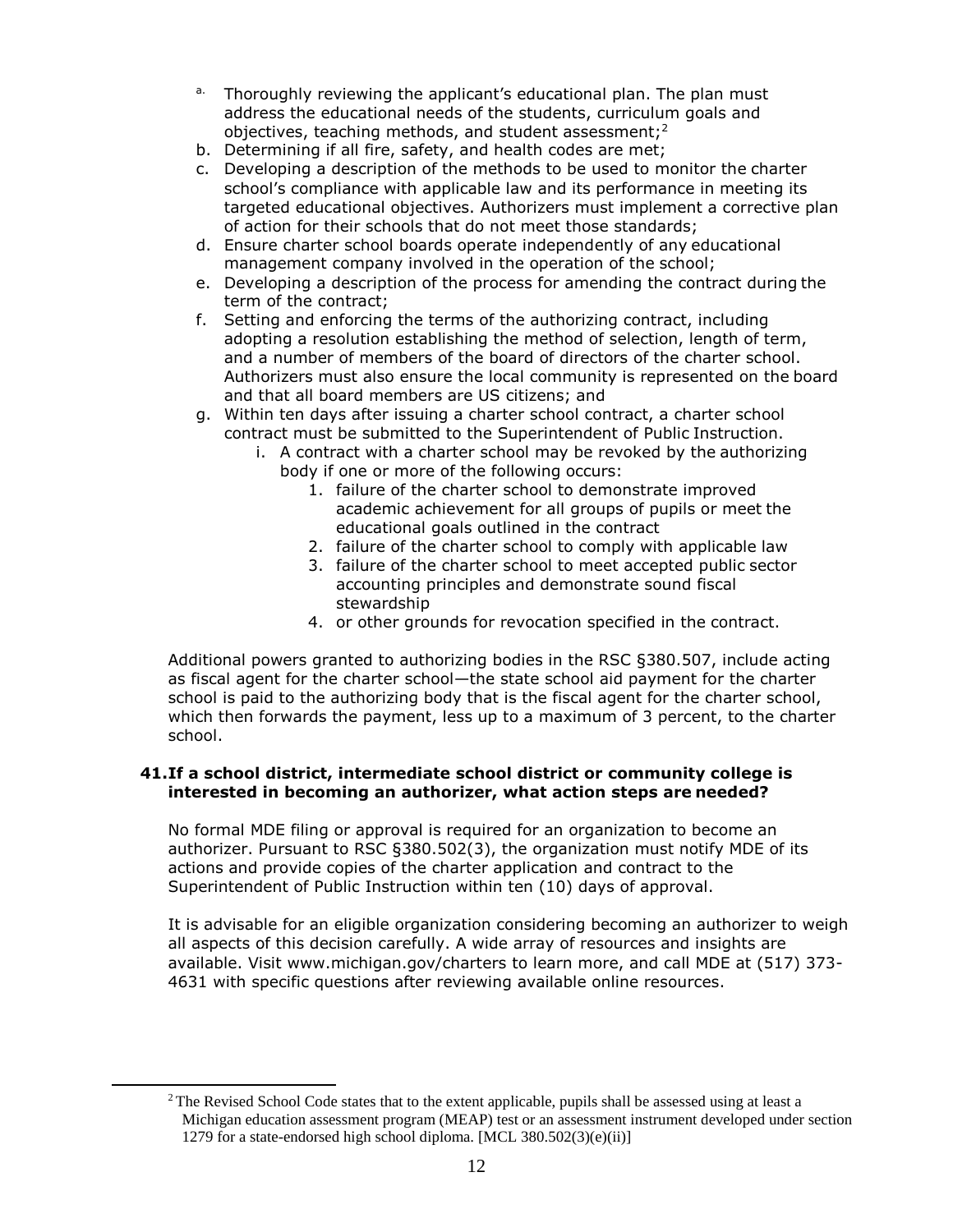- a. Thoroughly reviewing the applicant's educational plan. The plan must address the educational needs of the students, curriculum goals and objectives, teaching methods, and student assessment; $2<sup>2</sup>$
- b. Determining if all fire, safety, and health codes are met;
- c. Developing a description of the methods to be used to monitor the charter school's compliance with applicable law and its performance in meeting its targeted educational objectives. Authorizers must implement a corrective plan of action for their schools that do not meet those standards;
- d. Ensure charter school boards operate independently of any educational management company involved in the operation of the school;
- e. Developing a description of the process for amending the contract during the term of the contract;
- f. Setting and enforcing the terms of the authorizing contract, including adopting a resolution establishing the method of selection, length of term, and a number of members of the board of directors of the charter school. Authorizers must also ensure the local community is represented on the board and that all board members are US citizens; and
- g. Within ten days after issuing a charter school contract, a charter school contract must be submitted to the Superintendent of Public Instruction.
	- i. A contract with a charter school may be revoked by the authorizing body if one or more of the following occurs:
		- 1. failure of the charter school to demonstrate improved academic achievement for all groups of pupils or meet the educational goals outlined in the contract
		- 2. failure of the charter school to comply with applicable law
		- 3. failure of the charter school to meet accepted public sector accounting principles and demonstrate sound fiscal stewardship
		- 4. or other grounds for revocation specified in the contract.

 which then forwards the payment, less up to a maximum of 3 percent, to the charter Additional powers granted to authorizing bodies in the RSC §380.507, include acting as fiscal agent for the charter school—the state school aid payment for the charter school is paid to the authorizing body that is the fiscal agent for the charter school, school.

## **41.If a school district, intermediate school district or community college is interested in becoming an authorizer, what action steps are needed?**

 No formal MDE filing or approval is required for an organization to become an authorizer. Pursuant to RSC §380.502(3), the organization must notify MDE of its actions and provide copies of the charter application and contract to the Superintendent of Public Instruction within ten (10) days of approval.

 available. Visit [www.michigan.gov/charters t](http://www.michigan.gov/charters)o learn more, and call MDE at (517) 373- It is advisable for an eligible organization considering becoming an authorizer to weigh all aspects of this decision carefully. A wide array of resources and insights are 4631 with specific questions after reviewing available online resources.

<sup>&</sup>lt;sup>2</sup> The Revised School Code states that to the extent applicable, pupils shall be assessed using at least a Michigan education assessment program (MEAP) test or an assessment instrument developed under section 1279 for a state-endorsed high school diploma. [MCL 380.502(3)(e)(ii)]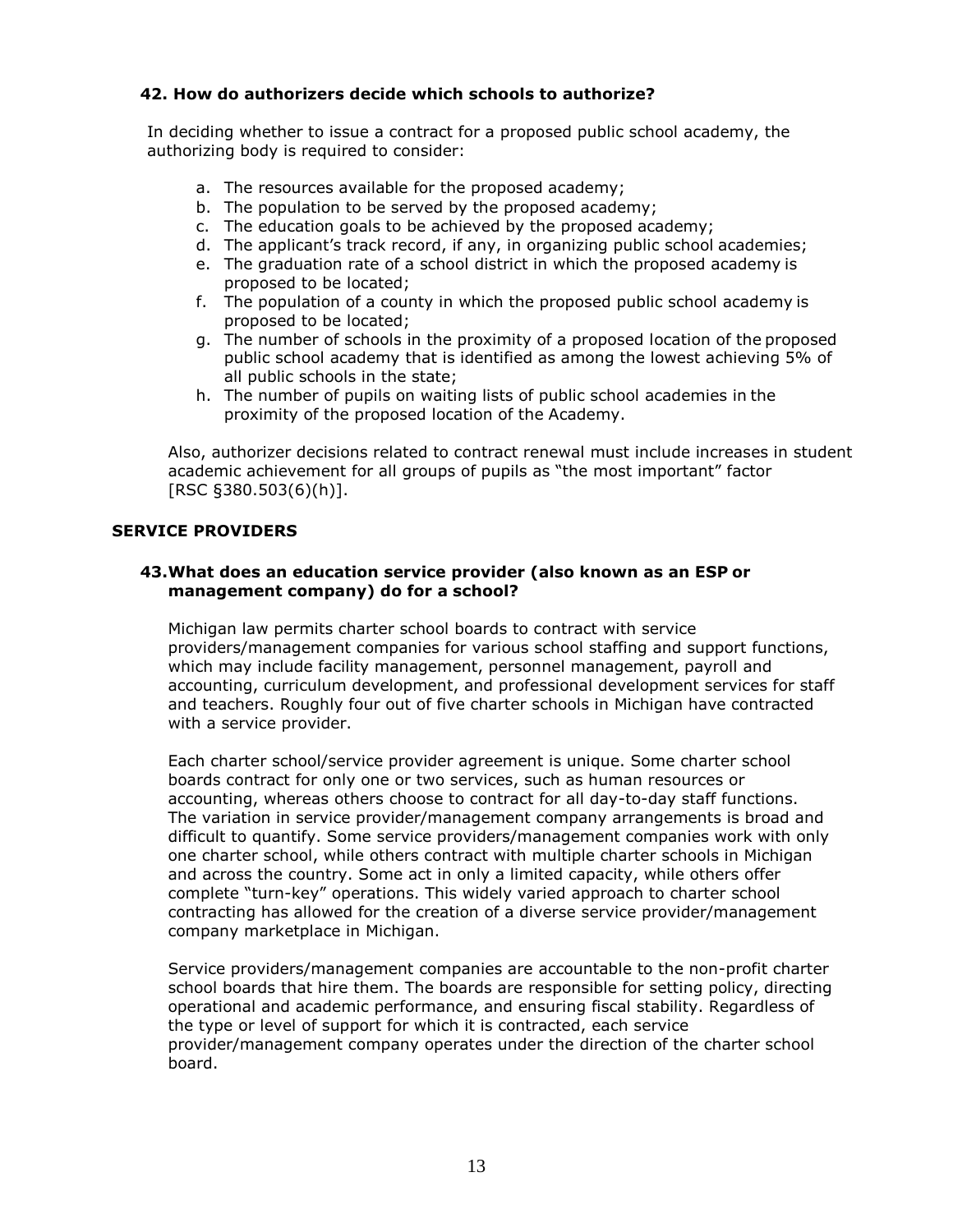# **42. How do authorizers decide which schools to authorize?**

In deciding whether to issue a contract for a proposed public school academy, the authorizing body is required to consider:

- a. The resources available for the proposed academy;
- b. The population to be served by the proposed academy;
- c. The education goals to be achieved by the proposed academy;
- d. The applicant's track record, if any, in organizing public school academies;
- e. The graduation rate of a school district in which the proposed academy is proposed to be located;
- f. The population of a county in which the proposed public school academy is proposed to be located;
- g. The number of schools in the proximity of a proposed location of the proposed public school academy that is identified as among the lowest achieving 5% of all public schools in the state;
- h. The number of pupils on waiting lists of public school academies in the proximity of the proposed location of the Academy.

Also, authorizer decisions related to contract renewal must include increases in student academic achievement for all groups of pupils as "the most important" factor [RSC §380.503(6)(h)].

# **SERVICE PROVIDERS**

## **43.What does an education service provider (also known as an ESP or management company) do for a school?**

 providers/management companies for various school staffing and support functions, and teachers. Roughly four out of five charter schools in Michigan have contracted Michigan law permits charter school boards to contract with service which may include facility management, personnel management, payroll and accounting, curriculum development, and professional development services for staff with a service provider.

 Each charter school/service provider agreement is unique. Some charter school The variation in service provider/management company arrangements is broad and one charter school, while others contract with multiple charter schools in Michigan and across the country. Some act in only a limited capacity, while others offer boards contract for only one or two services, such as human resources or accounting, whereas others choose to contract for all day-to-day staff functions. difficult to quantify. Some service providers/management companies work with only complete "turn-key" operations. This widely varied approach to charter school contracting has allowed for the creation of a diverse service provider/management company marketplace in Michigan.

Service providers/management companies are accountable to the non-profit charter school boards that hire them. The boards are responsible for setting policy, directing operational and academic performance, and ensuring fiscal stability. Regardless of the type or level of support for which it is contracted, each service provider/management company operates under the direction of the charter school board.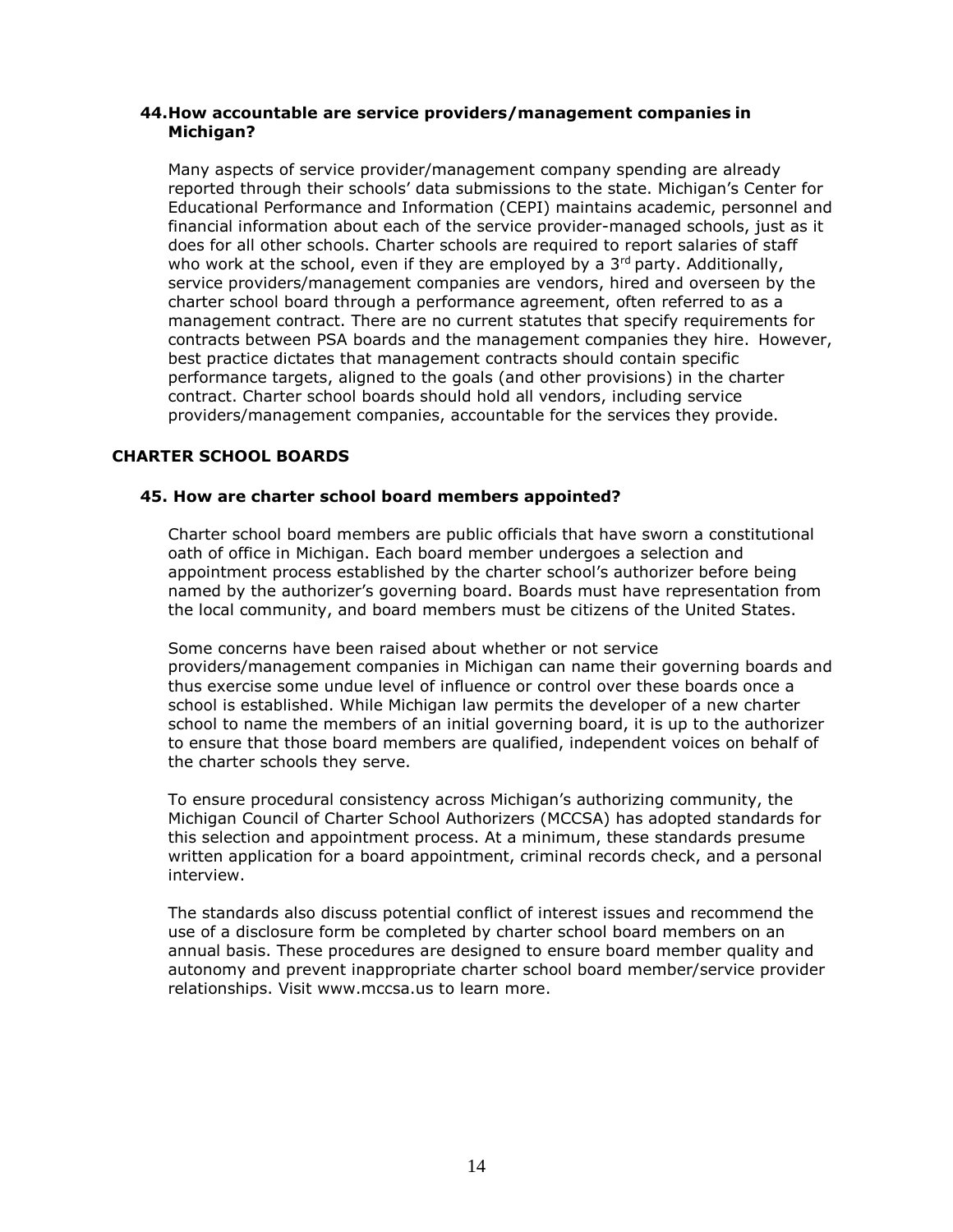### **44.How accountable are service providers/management companies in Michigan?**

 financial information about each of the service provider-managed schools, just as it Many aspects of service provider/management company spending are already reported through their schools' data submissions to the state. Michigan's Center for Educational Performance and Information (CEPI) maintains academic, personnel and does for all other schools. Charter schools are required to report salaries of staff who work at the school, even if they are employed by a  $3<sup>rd</sup>$  party. Additionally, service providers/management companies are vendors, hired and overseen by the charter school board through a performance agreement, often referred to as a management contract. There are no current statutes that specify requirements for contracts between PSA boards and the management companies they hire. However, best practice dictates that management contracts should contain specific performance targets, aligned to the goals (and other provisions) in the charter contract. Charter school boards should hold all vendors, including service providers/management companies, accountable for the services they provide.

# **CHARTER SCHOOL BOARDS**

## **45. How are charter school board members appointed?**

Charter school board members are public officials that have sworn a constitutional oath of office in Michigan. Each board member undergoes a selection and appointment process established by the charter school's authorizer before being named by the authorizer's governing board. Boards must have representation from the local community, and board members must be citizens of the United States.

Some concerns have been raised about whether or not service providers/management companies in Michigan can name their governing boards and thus exercise some undue level of influence or control over these boards once a school is established. While Michigan law permits the developer of a new charter school to name the members of an initial governing board, it is up to the authorizer to ensure that those board members are qualified, independent voices on behalf of the charter schools they serve.

To ensure procedural consistency across Michigan's authorizing community, the Michigan Council of Charter School Authorizers (MCCSA) has adopted standards for this selection and appointment process. At a minimum, these standards presume written application for a board appointment, criminal records check, and a personal interview.

 use of a disclosure form be completed by charter school board members on an The standards also discuss potential conflict of interest issues and recommend the annual basis. These procedures are designed to ensure board member quality and autonomy and prevent inappropriate charter school board member/service provider relationships. Visit [www.mccsa.us t](http://www.mccsa.us/)o learn more.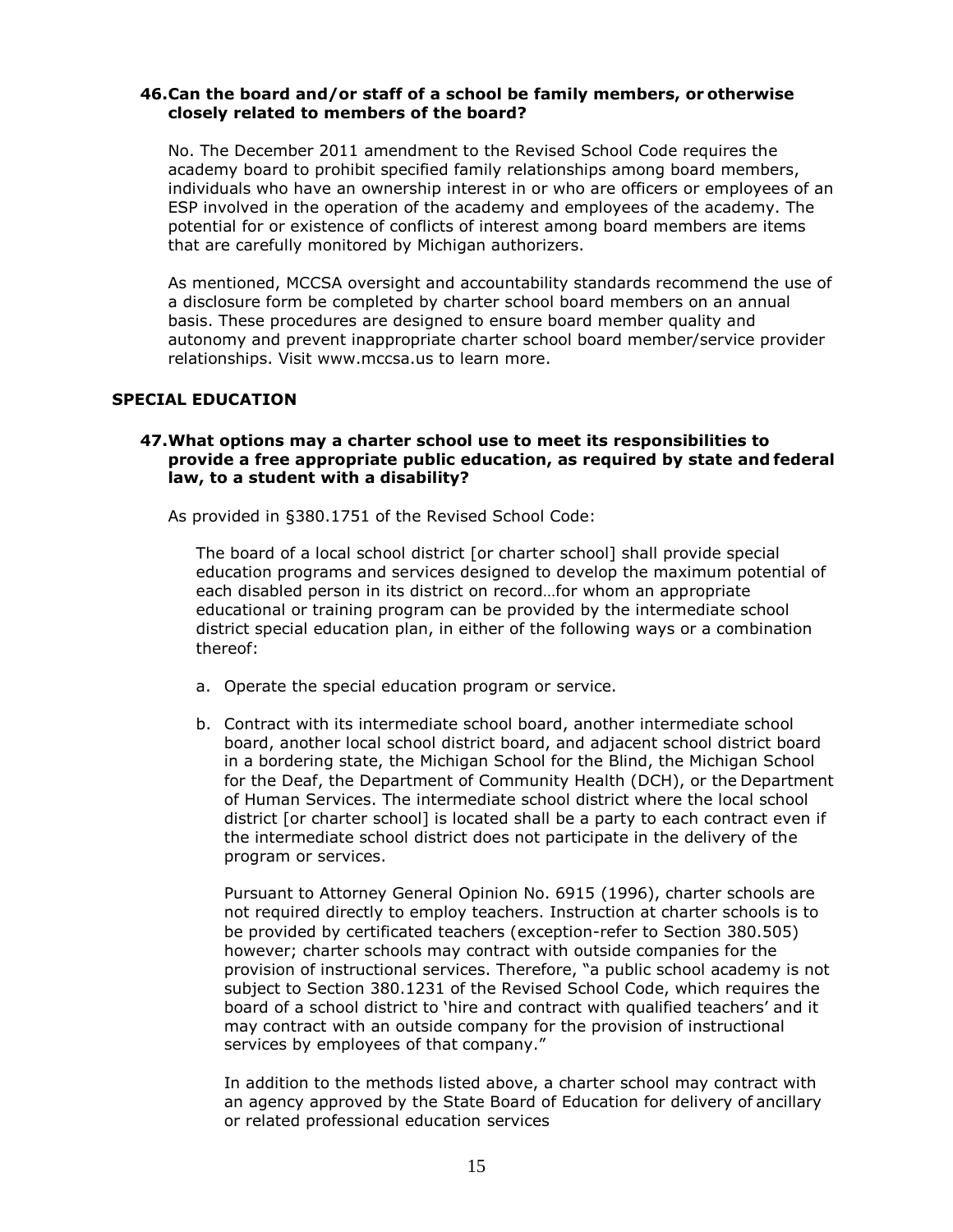## **46.Can the board and/or staff of a school be family members, or otherwise closely related to members of the board?**

No. The December 2011 amendment to the Revised School Code requires the academy board to prohibit specified family relationships among board members, individuals who have an ownership interest in or who are officers or employees of an ESP involved in the operation of the academy and employees of the academy. The potential for or existence of conflicts of interest among board members are items that are carefully monitored by Michigan authorizers.

 basis. These procedures are designed to ensure board member quality and As mentioned, MCCSA oversight and accountability standards recommend the use of a disclosure form be completed by charter school board members on an annual autonomy and prevent inappropriate charter school board member/service provider relationships. Visit [www.mccsa.us t](http://www.mccsa.us/)o learn more.

#### **SPECIAL EDUCATION**

## **47.What options may a charter school use to meet its responsibilities to provide a free appropriate public education, as required by state and federal law, to a student with a disability?**

As provided in §380.1751 of the Revised School Code:

The board of a local school district [or charter school] shall provide special education programs and services designed to develop the maximum potential of each disabled person in its district on record…for whom an appropriate educational or training program can be provided by the intermediate school district special education plan, in either of the following ways or a combination thereof:

- a. Operate the special education program or service.
- district [or charter school] is located shall be a party to each contract even if b. Contract with its intermediate school board, another intermediate school board, another local school district board, and adjacent school district board in a bordering state, the Michigan School for the Blind, the Michigan School for the Deaf, the Department of Community Health (DCH), or the Department of Human Services. The intermediate school district where the local school the intermediate school district does not participate in the delivery of the program or services.

Pursuant to Attorney General Opinion No. 6915 (1996), charter schools are not required directly to employ teachers. Instruction at charter schools is to be provided by certificated teachers (exception-refer to Section 380.505) however; charter schools may contract with outside companies for the provision of instructional services. Therefore, "a public school academy is not subject to Section 380.1231 of the Revised School Code, which requires the board of a school district to 'hire and contract with qualified teachers' and it may contract with an outside company for the provision of instructional services by employees of that company."

In addition to the methods listed above, a charter school may contract with an agency approved by the State Board of Education for delivery of ancillary or related professional education services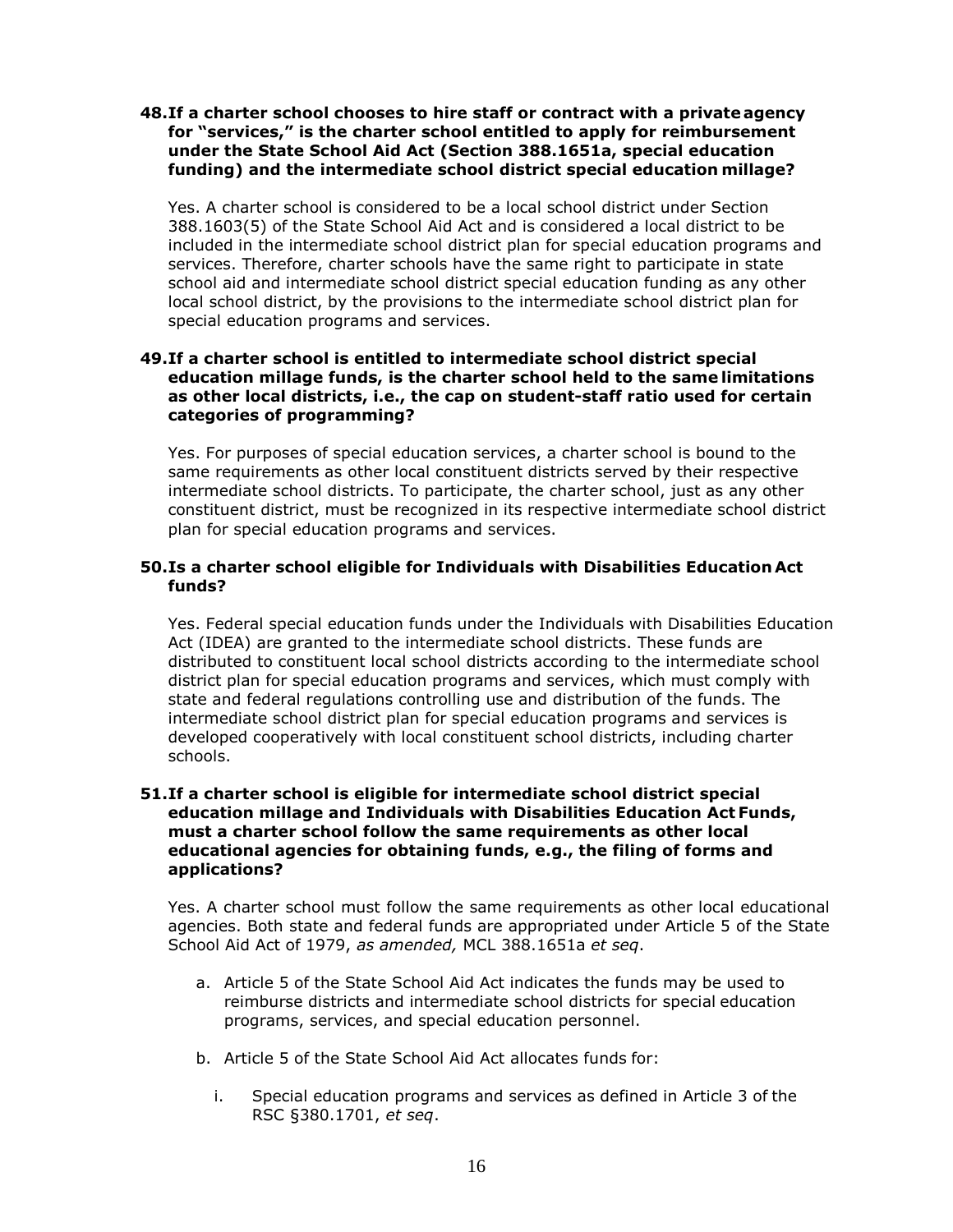#### **48.If a charter school chooses to hire staff or contract with a private agency for "services," is the charter school entitled to apply for reimbursement under the State School Aid Act (Section 388.1651a, special education funding) and the intermediate school district special education millage?**

Yes. A charter school is considered to be a local school district under Section 388.1603(5) of the State School Aid Act and is considered a local district to be included in the intermediate school district plan for special education programs and services. Therefore, charter schools have the same right to participate in state school aid and intermediate school district special education funding as any other local school district, by the provisions to the intermediate school district plan for special education programs and services.

## **49.If a charter school is entitled to intermediate school district special education millage funds, is the charter school held to the same limitations as other local districts, i.e., the cap on student-staff ratio used for certain categories of programming?**

 intermediate school districts. To participate, the charter school, just as any other Yes. For purposes of special education services, a charter school is bound to the same requirements as other local constituent districts served by their respective constituent district, must be recognized in its respective intermediate school district plan for special education programs and services.

## **50.Is a charter school eligible for Individuals with Disabilities Education Act funds?**

 Act (IDEA) are granted to the intermediate school districts. These funds are Yes. Federal special education funds under the Individuals with Disabilities Education distributed to constituent local school districts according to the intermediate school district plan for special education programs and services, which must comply with state and federal regulations controlling use and distribution of the funds. The intermediate school district plan for special education programs and services is developed cooperatively with local constituent school districts, including charter schools.

## **51.If a charter school is eligible for intermediate school district special education millage and Individuals with Disabilities Education Act Funds, must a charter school follow the same requirements as other local educational agencies for obtaining funds, e.g., the filing of forms and applications?**

 Yes. A charter school must follow the same requirements as other local educational agencies. Both state and federal funds are appropriated under Article 5 of the State School Aid Act of 1979, *as amended,* MCL 388.1651a *et seq*.

- a. Article 5 of the State School Aid Act indicates the funds may be used to reimburse districts and intermediate school districts for special education programs, services, and special education personnel.
- b. Article 5 of the State School Aid Act allocates funds for:
	- i. Special education programs and services as defined in Article 3 of the RSC §380.1701, *et seq*.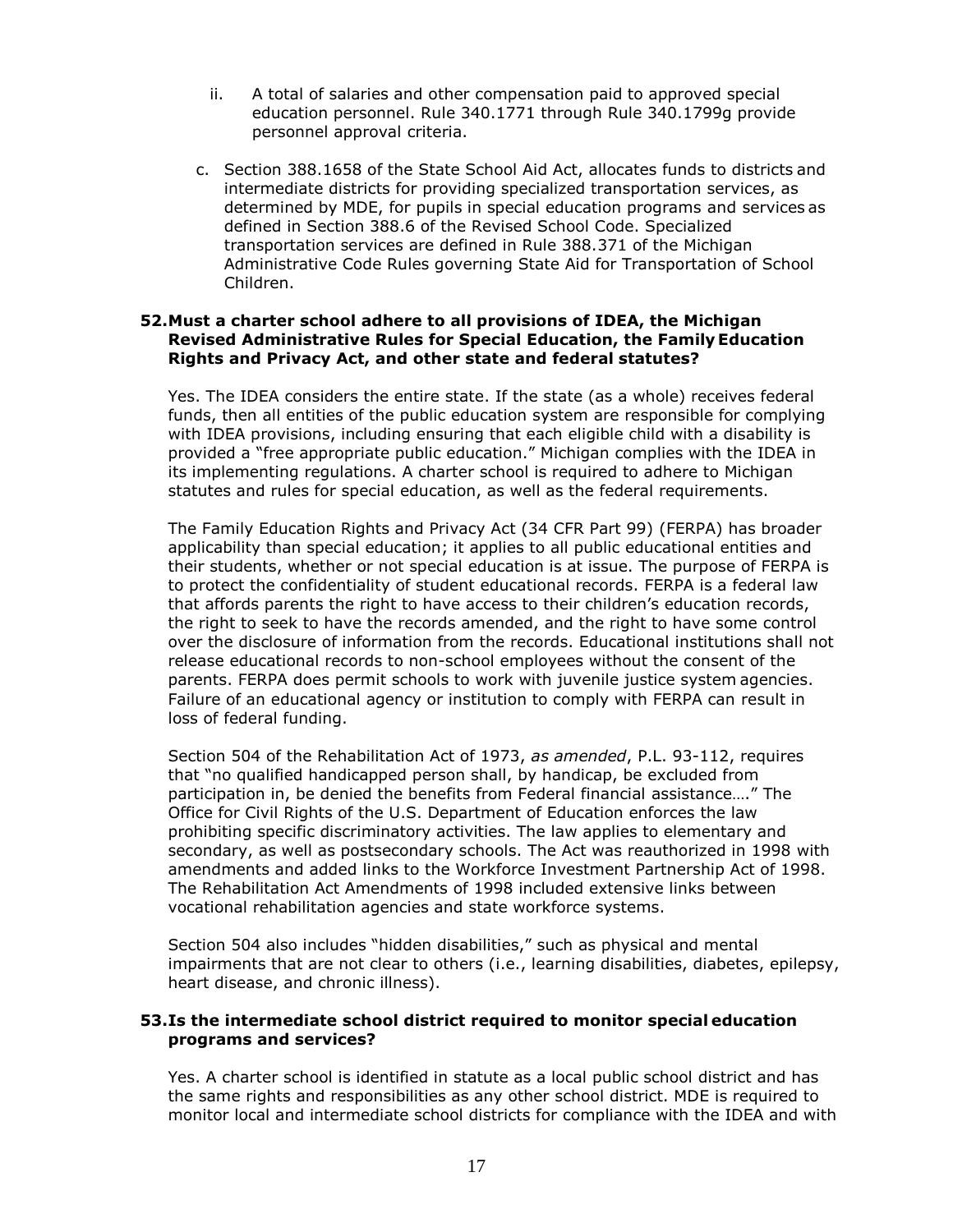- ii. A total of salaries and other compensation paid to approved special education personnel. Rule 340.1771 through Rule 340.1799g provide personnel approval criteria.
- c. Section 388.1658 of the State School Aid Act, allocates funds to districts and intermediate districts for providing specialized transportation services, as determined by MDE, for pupils in special education programs and services as defined in Section 388.6 of the Revised School Code. Specialized transportation services are defined in Rule 388.371 of the Michigan Administrative Code Rules governing State Aid for Transportation of School Children.

## **52.Must a charter school adhere to all provisions of IDEA, the Michigan Revised Administrative Rules for Special Education, the Family Education Rights and Privacy Act, and other state and federal statutes?**

 provided a "free appropriate public education." Michigan complies with the IDEA in its implementing regulations. A charter school is required to adhere to Michigan statutes and rules for special education, as well as the federal requirements. Yes. The IDEA considers the entire state. If the state (as a whole) receives federal funds, then all entities of the public education system are responsible for complying with IDEA provisions, including ensuring that each eligible child with a disability is

 Failure of an educational agency or institution to comply with FERPA can result in The Family Education Rights and Privacy Act (34 CFR Part 99) (FERPA) has broader applicability than special education; it applies to all public educational entities and their students, whether or not special education is at issue. The purpose of FERPA is to protect the confidentiality of student educational records. FERPA is a federal law that affords parents the right to have access to their children's education records, the right to seek to have the records amended, and the right to have some control over the disclosure of information from the records. Educational institutions shall not release educational records to non-school employees without the consent of the parents. FERPA does permit schools to work with juvenile justice system agencies. loss of federal funding.

 vocational rehabilitation agencies and state workforce systems. Section 504 of the Rehabilitation Act of 1973, *as amended*, P.L. 93-112, requires that "no qualified handicapped person shall, by handicap, be excluded from participation in, be denied the benefits from Federal financial assistance…." The Office for Civil Rights of the U.S. Department of Education enforces the law prohibiting specific discriminatory activities. The law applies to elementary and secondary, as well as postsecondary schools. The Act was reauthorized in 1998 with amendments and added links to the Workforce Investment Partnership Act of 1998. The Rehabilitation Act Amendments of 1998 included extensive links between

Section 504 also includes "hidden disabilities," such as physical and mental impairments that are not clear to others (i.e., learning disabilities, diabetes, epilepsy, heart disease, and chronic illness).

## **53.Is the intermediate school district required to monitor special education programs and services?**

Yes. A charter school is identified in statute as a local public school district and has the same rights and responsibilities as any other school district. MDE is required to monitor local and intermediate school districts for compliance with the IDEA and with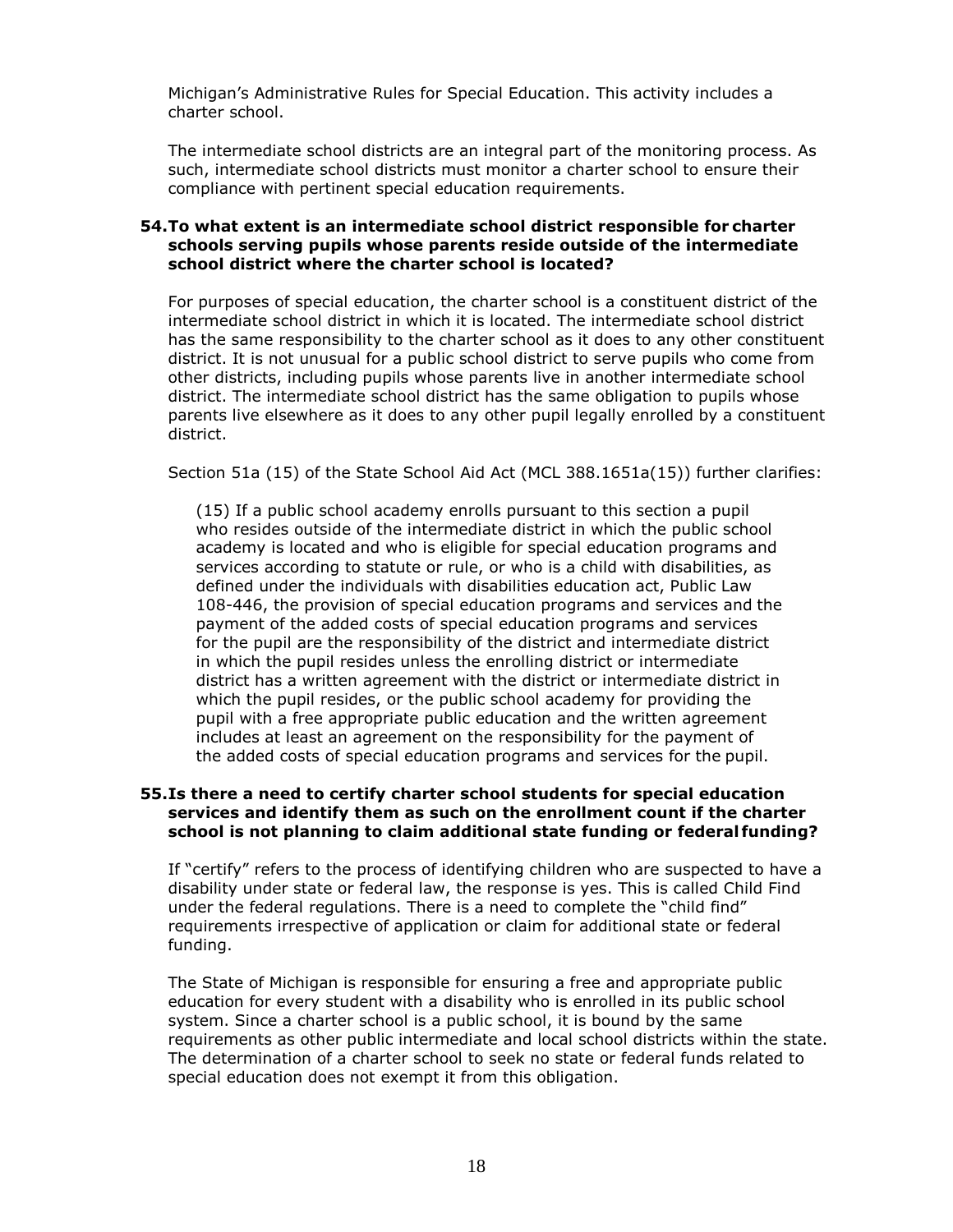Michigan's Administrative Rules for Special Education. This activity includes a charter school.

 such, intermediate school districts must monitor a charter school to ensure their The intermediate school districts are an integral part of the monitoring process. As compliance with pertinent special education requirements.

#### **54.To what extent is an intermediate school district responsible for charter schools serving pupils whose parents reside outside of the intermediate school district where the charter school is located?**

For purposes of special education, the charter school is a constituent district of the intermediate school district in which it is located. The intermediate school district has the same responsibility to the charter school as it does to any other constituent district. It is not unusual for a public school district to serve pupils who come from other districts, including pupils whose parents live in another intermediate school district. The intermediate school district has the same obligation to pupils whose parents live elsewhere as it does to any other pupil legally enrolled by a constituent district.

Section 51a (15) of the State School Aid Act (MCL 388.1651a(15)) further clarifies:

 includes at least an agreement on the responsibility for the payment of (15) If a public school academy enrolls pursuant to this section a pupil who resides outside of the intermediate district in which the public school academy is located and who is eligible for special education programs and services according to statute or rule, or who is a child with disabilities, as defined under the individuals with disabilities education act, Public Law 108-446, the provision of special education programs and services and the payment of the added costs of special education programs and services for the pupil are the responsibility of the district and intermediate district in which the pupil resides unless the enrolling district or intermediate district has a written agreement with the district or intermediate district in which the pupil resides, or the public school academy for providing the pupil with a free appropriate public education and the written agreement the added costs of special education programs and services for the pupil.

## **55.Is there a need to certify charter school students for special education services and identify them as such on the enrollment count if the charter school is not planning to claim additional state funding or federal funding?**

 If "certify" refers to the process of identifying children who are suspected to have a disability under state or federal law, the response is yes. This is called Child Find under the federal regulations. There is a need to complete the "child find" requirements irrespective of application or claim for additional state or federal funding.

 education for every student with a disability who is enrolled in its public school system. Since a charter school is a public school, it is bound by the same The determination of a charter school to seek no state or federal funds related to The State of Michigan is responsible for ensuring a free and appropriate public requirements as other public intermediate and local school districts within the state. special education does not exempt it from this obligation.